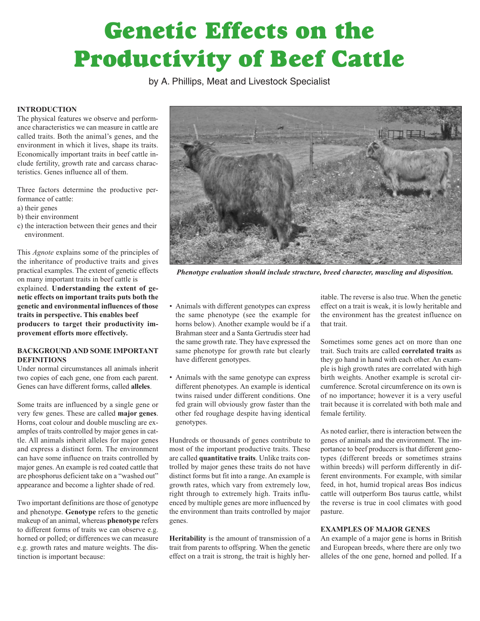# **Genetic Effects on the Productivity of Beef Cattle**

by A. Phillips, Meat and Livestock Specialist

# **INTRODUCTION**

The physical features we observe and performance characteristics we can measure in cattle are called traits. Both the animal's genes, and the environment in which it lives, shape its traits. Economically important traits in beef cattle include fertility, growth rate and carcass characteristics. Genes influence all of them.

Three factors determine the productive performance of cattle:

- a) their genes
- b) their environment
- c) the interaction between their genes and their environment.

This *Agnote* explains some of the principles of the inheritance of productive traits and gives practical examples. The extent of genetic effects on many important traits in beef cattle is explained. **Understanding the extent of genetic effects on important traits puts both the genetic and environmental influences of those traits in perspective. This enables beef producers to target their productivity improvement efforts more effectively.**

# **BACKGROUND AND SOME IMPORTANT DEFINITIONS**

Under normal circumstances all animals inherit two copies of each gene, one from each parent. Genes can have different forms, called **alleles**.

Some traits are influenced by a single gene or very few genes. These are called **major genes**. Horns, coat colour and double muscling are examples of traits controlled by major genes in cattle. All animals inherit alleles for major genes and express a distinct form. The environment can have some influence on traits controlled by major genes. An example is red coated cattle that are phosphorus deficient take on a "washed out" appearance and become a lighter shade of red.

Two important definitions are those of genotype and phenotype. **Genotype** refers to the genetic makeup of an animal, whereas **phenotype** refers to different forms of traits we can observe e.g. horned or polled; or differences we can measure e.g. growth rates and mature weights. The distinction is important because:



*Phenotype evaluation should include structure, breed character, muscling and disposition.*

- Animals with different genotypes can express the same phenotype (see the example for horns below). Another example would be if a Brahman steer and a Santa Gertrudis steer had the same growth rate. They have expressed the same phenotype for growth rate but clearly have different genotypes.
- Animals with the same genotype can express different phenotypes. An example is identical twins raised under different conditions. One fed grain will obviously grow faster than the other fed roughage despite having identical genotypes.

Hundreds or thousands of genes contribute to most of the important productive traits. These are called **quantitative traits**. Unlike traits controlled by major genes these traits do not have distinct forms but fit into a range. An example is growth rates, which vary from extremely low, right through to extremely high. Traits influenced by multiple genes are more influenced by the environment than traits controlled by major genes.

**Heritability** is the amount of transmission of a trait from parents to offspring. When the genetic effect on a trait is strong, the trait is highly heritable. The reverse is also true. When the genetic effect on a trait is weak, it is lowly heritable and the environment has the greatest influence on that trait.

Sometimes some genes act on more than one trait. Such traits are called **correlated traits** as they go hand in hand with each other. An example is high growth rates are correlated with high birth weights. Another example is scrotal circumference. Scrotal circumference on its own is of no importance; however it is a very useful trait because it is correlated with both male and female fertility.

As noted earlier, there is interaction between the genes of animals and the environment. The importance to beef producers is that different genotypes (different breeds or sometimes strains within breeds) will perform differently in different environments. For example, with similar feed, in hot, humid tropical areas Bos indicus cattle will outperform Bos taurus cattle, whilst the reverse is true in cool climates with good pasture.

## **EXAMPLES OF MAJOR GENES**

An example of a major gene is horns in British and European breeds, where there are only two alleles of the one gene, horned and polled. If a